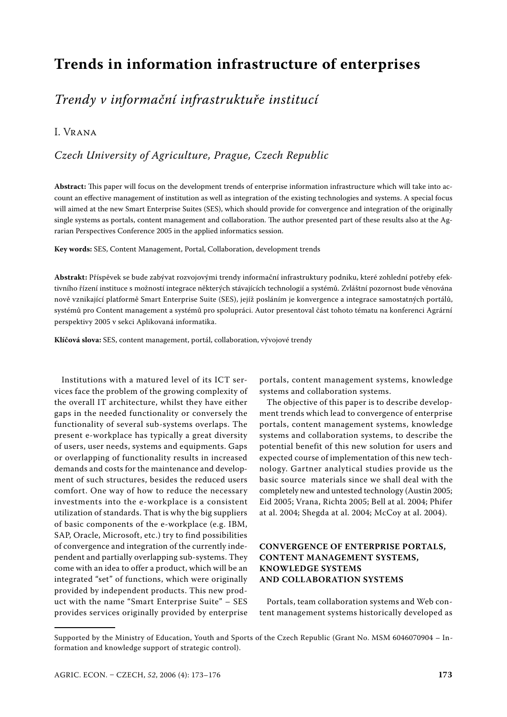# **Trends in information infrastructure of enterprises**

*Trendy v informační infrastruktuře institucí*

## I. VRANA

## *Czech University of Agriculture, Prague, Czech Republic*

**Abstract:** This paper will focus on the development trends of enterprise information infrastructure which will take into account an effective management of institution as well as integration of the existing technologies and systems. A special focus will aimed at the new Smart Enterprise Suites (SES), which should provide for convergence and integration of the originally single systems as portals, content management and collaboration. The author presented part of these results also at the Agrarian Perspectives Conference 2005 in the applied informatics session.

**Key words:** SES, Content Management, Portal, Collaboration, development trends

**Abstrakt:** Příspěvek se bude zabývat rozvojovými trendy informační infrastruktury podniku, které zohlední potřeby efektivního řízení instituce s možností integrace některých stávajících technologií a systémů. Zvláštní pozornost bude věnována nově vznikající platformě Smart Enterprise Suite (SES), jejíž posláním je konvergence a integrace samostatných portálů, systémů pro Content management a systémů pro spolupráci. Autor presentoval část tohoto tématu na konferenci Agrární perspektivy 2005 v sekci Aplikovaná informatika.

**Klíčová slova:** SES, content management, portál, collaboration, vývojové trendy

Institutions with a matured level of its ICT services face the problem of the growing complexity of the overall IT architecture, whilst they have either gaps in the needed functionality or conversely the functionality of several sub-systems overlaps. The present e-workplace has typically a great diversity of users, user needs, systems and equipments. Gaps or overlapping of functionality results in increased demands and costs for the maintenance and development of such structures, besides the reduced users comfort. One way of how to reduce the necessary investments into the e-workplace is a consistent utilization of standards. That is why the big suppliers of basic components of the e-workplace (e.g. IBM, SAP, Oracle, Microsoft, etc.) try to find possibilities of convergence and integration of the currently independent and partially overlapping sub-systems. They come with an idea to offer a product, which will be an integrated "set" of functions, which were originally provided by independent products. This new product with the name "Smart Enterprise Suite" – SES provides services originally provided by enterprise

portals, content management systems, knowledge systems and collaboration systems.

The objective of this paper is to describe development trends which lead to convergence of enterprise portals, content management systems, knowledge systems and collaboration systems, to describe the potential benefit of this new solution for users and expected course of implementation of this new technology. Gartner analytical studies provide us the basic source materials since we shall deal with the completely new and untested technology (Austin 2005; Eid 2005; Vrana, Richta 2005; Bell at al. 2004; Phifer at al. 2004; Shegda at al. 2004; McCoy at al. 2004).

### **CONVERGENCE OF ENTERPRISE PORTALS, CONTENT MANAGEMENT SYSTEMS, KNOWLEDGE SYSTEMS AND COLLABORATION SYSTEMS**

Portals, team collaboration systems and Web content management systems historically developed as

Supported by the Ministry of Education, Youth and Sports of the Czech Republic (Grant No. MSM 6046070904 – Information and knowledge support of strategic control).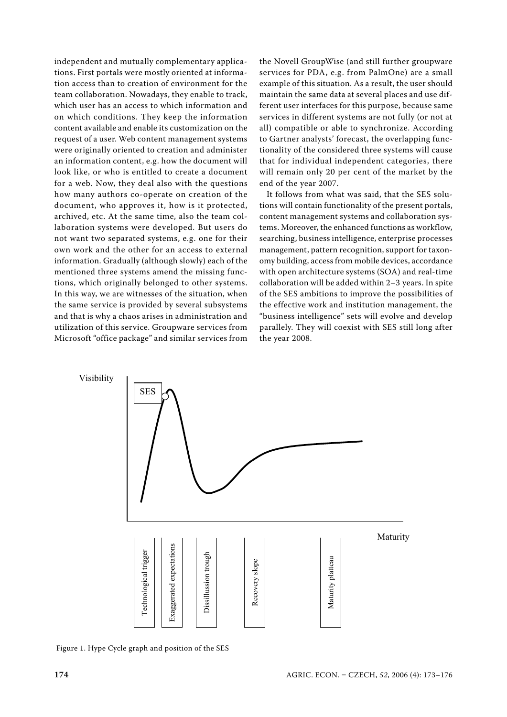independent and mutually complementary applications. First portals were mostly oriented at information access than to creation of environment for the team collaboration. Nowadays, they enable to track, which user has an access to which information and on which conditions. They keep the information content available and enable its customization on the request of a user. Web content management systems were originally oriented to creation and administer an information content, e.g. how the document will look like, or who is entitled to create a document for a web. Now, they deal also with the questions how many authors co-operate on creation of the document, who approves it, how is it protected, archived, etc. At the same time, also the team collaboration systems were developed. But users do not want two separated systems, e.g. one for their own work and the other for an access to external information. Gradually (although slowly) each of the mentioned three systems amend the missing functions, which originally belonged to other systems. In this way, we are witnesses of the situation, when the same service is provided by several subsystems and that is why a chaos arises in administration and utilization of this service. Groupware services from Microsoft "office package" and similar services from

the Novell GroupWise (and still further groupware services for PDA, e.g. from PalmOne) are a small example of this situation. As a result, the user should maintain the same data at several places and use different user interfaces for this purpose, because same services in different systems are not fully (or not at all) compatible or able to synchronize. According to Gartner analysts' forecast, the overlapping functionality of the considered three systems will cause that for individual independent categories, there will remain only 20 per cent of the market by the end of the year 2007.

It follows from what was said, that the SES solutions will contain functionality of the present portals, content management systems and collaboration systems. Moreover, the enhanced functions as workflow, searching, business intelligence, enterprise processes management, pattern recognition, support for taxonomy building, access from mobile devices, accordance with open architecture systems (SOA) and real-time collaboration will be added within 2–3 years. In spite of the SES ambitions to improve the possibilities of the effective work and institution management, the "business intelligence" sets will evolve and develop parallely. They will coexist with SES still long after the year 2008.



Figure 1. Hype Cycle graph and position of the SES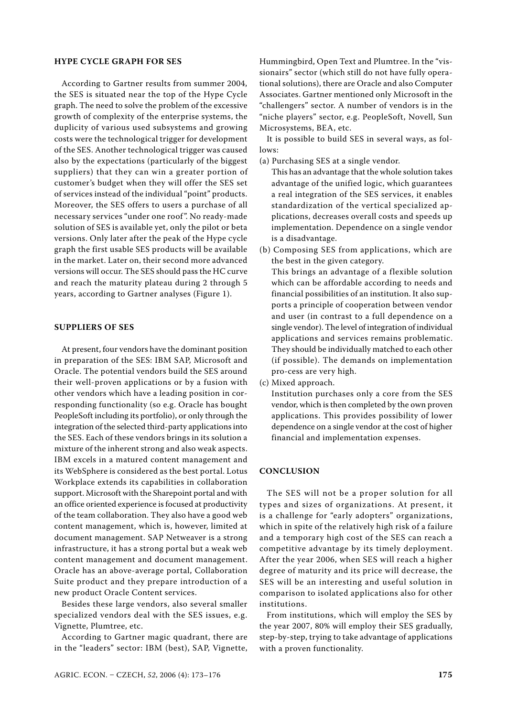#### **HYPE CYCLE GRAPH FOR SES**

According to Gartner results from summer 2004, the SES is situated near the top of the Hype Cycle graph. The need to solve the problem of the excessive growth of complexity of the enterprise systems, the duplicity of various used subsystems and growing costs were the technological trigger for development of the SES. Another technological trigger was caused also by the expectations (particularly of the biggest suppliers) that they can win a greater portion of customer's budget when they will offer the SES set of services instead of the individual "point" products. Moreover, the SES offers to users a purchase of all necessary services "under one roof ". No ready-made solution of SES is available yet, only the pilot or beta versions. Only later after the peak of the Hype cycle graph the first usable SES products will be available in the market. Later on, their second more advanced versions will occur. The SES should pass the HC curve and reach the maturity plateau during 2 through 5 years, according to Gartner analyses (Figure 1).

#### **SUPPLIERS OF SES**

At present, four vendors have the dominant position in preparation of the SES: IBM SAP, Microsoft and Oracle. The potential vendors build the SES around their well-proven applications or by a fusion with other vendors which have a leading position in corresponding functionality (so e.g. Oracle has bought PeopleSoft including its portfolio), or only through the integration of the selected third-party applications into the SES. Each of these vendors brings in its solution a mixture of the inherent strong and also weak aspects. IBM excels in a matured content management and its WebSphere is considered as the best portal. Lotus Workplace extends its capabilities in collaboration support. Microsoft with the Sharepoint portal and with an office oriented experience is focused at productivity of the team collaboration. They also have a good web content management, which is, however, limited at document management. SAP Netweaver is a strong infrastructure, it has a strong portal but a weak web content management and document management. Oracle has an above-average portal, Collaboration Suite product and they prepare introduction of a new product Oracle Content services.

Besides these large vendors, also several smaller specialized vendors deal with the SES issues, e.g. Vignette, Plumtree, etc.

According to Gartner magic quadrant, there are in the "leaders" sector: IBM (best), SAP, Vignette, Hummingbird, Open Text and Plumtree. In the "vissionairs" sector (which still do not have fully operational solutions), there are Oracle and also Computer Associates. Gartner mentioned only Microsoft in the "challengers" sector. A number of vendors is in the "niche players" sector, e.g. PeopleSoft, Novell, Sun Microsystems, BEA, etc.

It is possible to build SES in several ways, as follows:

(a) Purchasing SES at a single vendor.

This has an advantage that the whole solution takes advantage of the unified logic, which guarantees a real integration of the SES services, it enables standardization of the vertical specialized applications, decreases overall costs and speeds up implementation. Dependence on a single vendor is a disadvantage.

(b) Composing SES from applications, which are the best in the given category.

This brings an advantage of a flexible solution which can be affordable according to needs and financial possibilities of an institution. It also supports a principle of cooperation between vendor and user (in contrast to a full dependence on a single vendor). The level of integration of individual applications and services remains problematic. They should be individually matched to each other (if possible). The demands on implementation pro-cess are very high.

(c) Mixed approach.

Institution purchases only a core from the SES vendor, which is then completed by the own proven applications. This provides possibility of lower dependence on a single vendor at the cost of higher financial and implementation expenses.

#### **CONCLUSION**

The SES will not be a proper solution for all types and sizes of organizations. At present, it is a challenge for "early adopters" organizations, which in spite of the relatively high risk of a failure and a temporary high cost of the SES can reach a competitive advantage by its timely deployment. After the year 2006, when SES will reach a higher degree of maturity and its price will decrease, the SES will be an interesting and useful solution in comparison to isolated applications also for other institutions.

From institutions, which will employ the SES by the year 2007, 80% will employ their SES gradually, step-by-step, trying to take advantage of applications with a proven functionality.